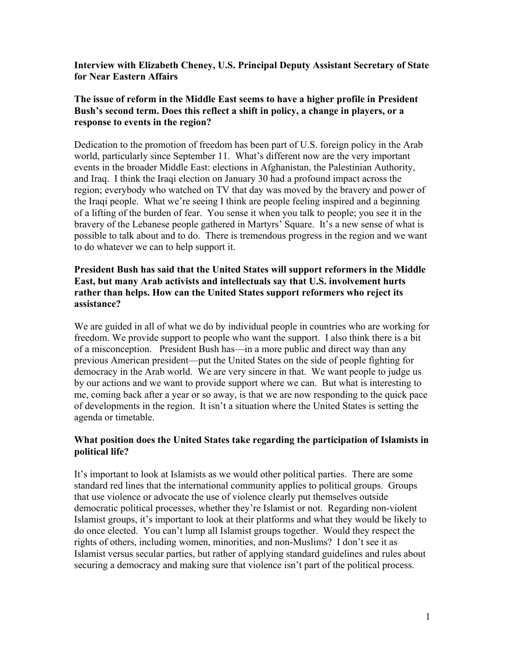#### **Interview with Elizabeth Cheney, U.S. Principal Deputy Assistant Secretary of State for Near Eastern Affairs**

## **The issue of reform in the Middle East seems to have a higher profile in President Bush's second term. Does this reflect a shift in policy, a change in players, or a response to events in the region?**

Dedication to the promotion of freedom has been part of U.S. foreign policy in the Arab world, particularly since September 11. What's different now are the very important events in the broader Middle East: elections in Afghanistan, the Palestinian Authority, and Iraq. I think the Iraqi election on January 30 had a profound impact across the region; everybody who watched on TV that day was moved by the bravery and power of the Iraqi people. What we're seeing I think are people feeling inspired and a beginning of a lifting of the burden of fear. You sense it when you talk to people; you see it in the bravery of the Lebanese people gathered in Martyrs' Square. It's a new sense of what is possible to talk about and to do. There is tremendous progress in the region and we want to do whatever we can to help support it.

#### **President Bush has said that the United States will support reformers in the Middle East, but many Arab activists and intellectuals say that U.S. involvement hurts rather than helps. How can the United States support reformers who reject its assistance?**

We are guided in all of what we do by individual people in countries who are working for freedom. We provide support to people who want the support. I also think there is a bit of a misconception. President Bush has—in a more public and direct way than any previous American president—put the United States on the side of people fighting for democracy in the Arab world. We are very sincere in that. We want people to judge us by our actions and we want to provide support where we can. But what is interesting to me, coming back after a year or so away, is that we are now responding to the quick pace of developments in the region. It isn't a situation where the United States is setting the agenda or timetable.

#### **What position does the United States take regarding the participation of Islamists in political life?**

It's important to look at Islamists as we would other political parties. There are some standard red lines that the international community applies to political groups. Groups that use violence or advocate the use of violence clearly put themselves outside democratic political processes, whether they're Islamist or not. Regarding non-violent Islamist groups, it's important to look at their platforms and what they would be likely to do once elected. You can't lump all Islamist groups together. Would they respect the rights of others, including women, minorities, and non-Muslims? I don't see it as Islamist versus secular parties, but rather of applying standard guidelines and rules about securing a democracy and making sure that violence isn't part of the political process.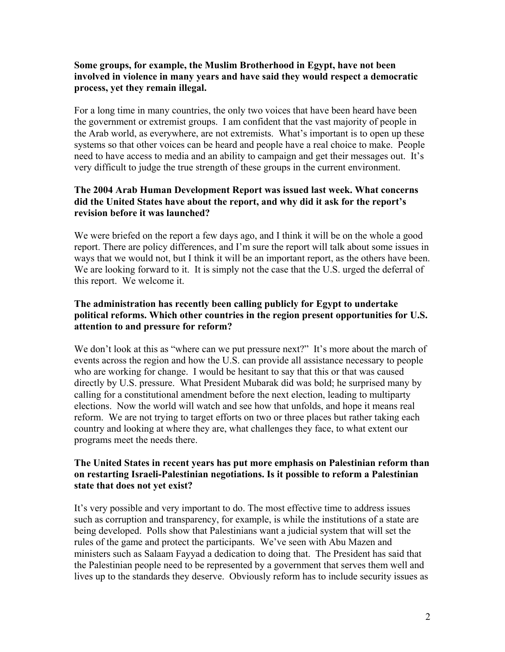#### **Some groups, for example, the Muslim Brotherhood in Egypt, have not been involved in violence in many years and have said they would respect a democratic process, yet they remain illegal.**

For a long time in many countries, the only two voices that have been heard have been the government or extremist groups. I am confident that the vast majority of people in the Arab world, as everywhere, are not extremists. What's important is to open up these systems so that other voices can be heard and people have a real choice to make. People need to have access to media and an ability to campaign and get their messages out. It's very difficult to judge the true strength of these groups in the current environment.

## **The 2004 Arab Human Development Report was issued last week. What concerns did the United States have about the report, and why did it ask for the report's revision before it was launched?**

We were briefed on the report a few days ago, and I think it will be on the whole a good report. There are policy differences, and I'm sure the report will talk about some issues in ways that we would not, but I think it will be an important report, as the others have been. We are looking forward to it. It is simply not the case that the U.S. urged the deferral of this report. We welcome it.

## **The administration has recently been calling publicly for Egypt to undertake political reforms. Which other countries in the region present opportunities for U.S. attention to and pressure for reform?**

We don't look at this as "where can we put pressure next?" It's more about the march of events across the region and how the U.S. can provide all assistance necessary to people who are working for change. I would be hesitant to say that this or that was caused directly by U.S. pressure. What President Mubarak did was bold; he surprised many by calling for a constitutional amendment before the next election, leading to multiparty elections. Now the world will watch and see how that unfolds, and hope it means real reform. We are not trying to target efforts on two or three places but rather taking each country and looking at where they are, what challenges they face, to what extent our programs meet the needs there.

## **The United States in recent years has put more emphasis on Palestinian reform than on restarting Israeli-Palestinian negotiations. Is it possible to reform a Palestinian state that does not yet exist?**

It's very possible and very important to do. The most effective time to address issues such as corruption and transparency, for example, is while the institutions of a state are being developed. Polls show that Palestinians want a judicial system that will set the rules of the game and protect the participants. We've seen with Abu Mazen and ministers such as Salaam Fayyad a dedication to doing that. The President has said that the Palestinian people need to be represented by a government that serves them well and lives up to the standards they deserve. Obviously reform has to include security issues as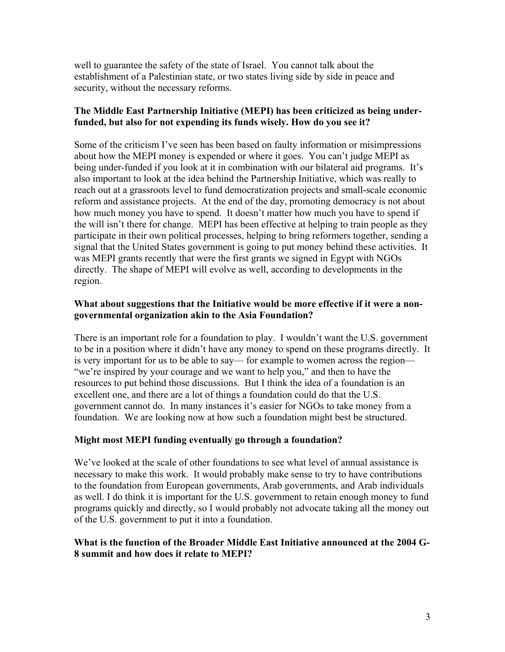well to guarantee the safety of the state of Israel. You cannot talk about the establishment of a Palestinian state, or two states living side by side in peace and security, without the necessary reforms.

# **The Middle East Partnership Initiative (MEPI) has been criticized as being underfunded, but also for not expending its funds wisely. How do you see it?**

Some of the criticism I've seen has been based on faulty information or misimpressions about how the MEPI money is expended or where it goes. You can't judge MEPI as being under-funded if you look at it in combination with our bilateral aid programs. It's also important to look at the idea behind the Partnership Initiative, which was really to reach out at a grassroots level to fund democratization projects and small-scale economic reform and assistance projects. At the end of the day, promoting democracy is not about how much money you have to spend. It doesn't matter how much you have to spend if the will isn't there for change. MEPI has been effective at helping to train people as they participate in their own political processes, helping to bring reformers together, sending a signal that the United States government is going to put money behind these activities. It was MEPI grants recently that were the first grants we signed in Egypt with NGOs directly. The shape of MEPI will evolve as well, according to developments in the region.

# **What about suggestions that the Initiative would be more effective if it were a nongovernmental organization akin to the Asia Foundation?**

There is an important role for a foundation to play. I wouldn't want the U.S. government to be in a position where it didn't have any money to spend on these programs directly. It is very important for us to be able to say— for example to women across the region— "we're inspired by your courage and we want to help you," and then to have the resources to put behind those discussions. But I think the idea of a foundation is an excellent one, and there are a lot of things a foundation could do that the U.S. government cannot do. In many instances it's easier for NGOs to take money from a foundation. We are looking now at how such a foundation might best be structured.

## **Might most MEPI funding eventually go through a foundation?**

We've looked at the scale of other foundations to see what level of annual assistance is necessary to make this work. It would probably make sense to try to have contributions to the foundation from European governments, Arab governments, and Arab individuals as well. I do think it is important for the U.S. government to retain enough money to fund programs quickly and directly, so I would probably not advocate taking all the money out of the U.S. government to put it into a foundation.

#### **What is the function of the Broader Middle East Initiative announced at the 2004 G-8 summit and how does it relate to MEPI?**